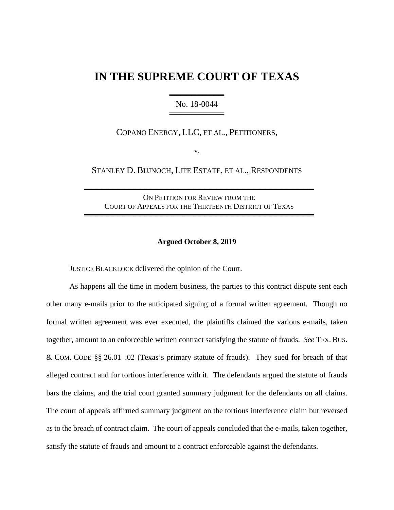# **IN THE SUPREME COURT OF TEXAS**

════════════════════════ No. 18-0044 ══════════════

COPANO ENERGY, LLC, ET AL., PETITIONERS,

v.

STANLEY D. BUJNOCH, LIFE ESTATE, ET AL., RESPONDENTS

ON PETITION FOR REVIEW FROM THE COURT OF APPEALS FOR THE THIRTEENTH DISTRICT OF TEXAS

══════════════════════════════════════════

══════════════════════════════════════════

#### **Argued October 8, 2019**

JUSTICE BLACKLOCK delivered the opinion of the Court.

As happens all the time in modern business, the parties to this contract dispute sent each other many e-mails prior to the anticipated signing of a formal written agreement. Though no formal written agreement was ever executed, the plaintiffs claimed the various e-mails, taken together, amount to an enforceable written contract satisfying the statute of frauds. *See* TEX. BUS. & COM. CODE §§ 26.01–.02 (Texas's primary statute of frauds). They sued for breach of that alleged contract and for tortious interference with it. The defendants argued the statute of frauds bars the claims, and the trial court granted summary judgment for the defendants on all claims. The court of appeals affirmed summary judgment on the tortious interference claim but reversed as to the breach of contract claim. The court of appeals concluded that the e-mails, taken together, satisfy the statute of frauds and amount to a contract enforceable against the defendants.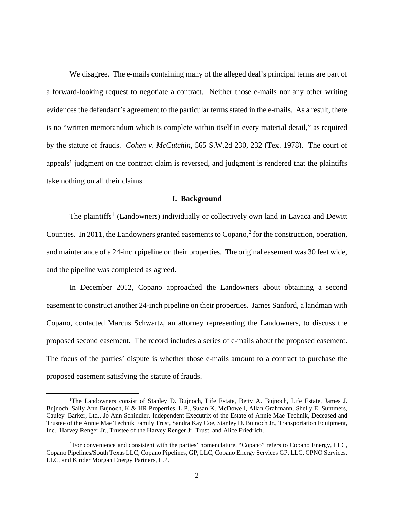We disagree. The e-mails containing many of the alleged deal's principal terms are part of a forward-looking request to negotiate a contract. Neither those e-mails nor any other writing evidences the defendant's agreement to the particular terms stated in the e-mails. As a result, there is no "written memorandum which is complete within itself in every material detail," as required by the statute of frauds. *Cohen v. McCutchin*, 565 S.W.2d 230, 232 (Tex. 1978). The court of appeals' judgment on the contract claim is reversed, and judgment is rendered that the plaintiffs take nothing on all their claims.

#### **I. Background**

The plaintiffs<sup>[1](#page-1-0)</sup> (Landowners) individually or collectively own land in Lavaca and Dewitt Counties. In [2](#page-1-1)011, the Landowners granted easements to Copano,  $2$  for the construction, operation, and maintenance of a 24-inch pipeline on their properties. The original easement was 30 feet wide, and the pipeline was completed as agreed.

In December 2012, Copano approached the Landowners about obtaining a second easement to construct another 24-inch pipeline on their properties. James Sanford, a landman with Copano, contacted Marcus Schwartz, an attorney representing the Landowners, to discuss the proposed second easement. The record includes a series of e-mails about the proposed easement. The focus of the parties' dispute is whether those e-mails amount to a contract to purchase the proposed easement satisfying the statute of frauds.

<span id="page-1-0"></span><sup>&</sup>lt;sup>1</sup>The Landowners consist of Stanley D. Bujnoch, Life Estate, Betty A. Bujnoch, Life Estate, James J. Bujnoch, Sally Ann Bujnoch, K & HR Properties, L.P., Susan K. McDowell, Allan Grahmann, Shelly E. Summers, Cauley–Barker, Ltd., Jo Ann Schindler, Independent Executrix of the Estate of Annie Mae Technik, Deceased and Trustee of the Annie Mae Technik Family Trust, Sandra Kay Coe, Stanley D. Bujnoch Jr., Transportation Equipment, Inc., Harvey Renger Jr., Trustee of the Harvey Renger Jr. Trust, and Alice Friedrich.

<span id="page-1-1"></span><sup>2</sup> For convenience and consistent with the parties' nomenclature, "Copano" refers to Copano Energy, LLC, Copano Pipelines/South Texas LLC, Copano Pipelines, GP, LLC, Copano Energy Services GP, LLC, CPNO Services, LLC, and Kinder Morgan Energy Partners, L.P.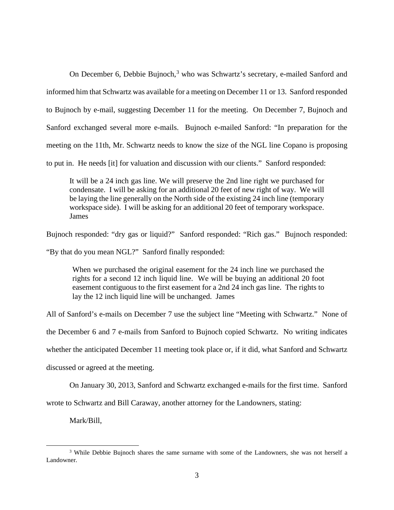On December 6, Debbie Bujnoch,<sup>[3](#page-2-0)</sup> who was Schwartz's secretary, e-mailed Sanford and informed him that Schwartz was available for a meeting on December 11 or 13. Sanford responded to Bujnoch by e-mail, suggesting December 11 for the meeting. On December 7, Bujnoch and Sanford exchanged several more e-mails. Bujnoch e-mailed Sanford: "In preparation for the meeting on the 11th, Mr. Schwartz needs to know the size of the NGL line Copano is proposing to put in. He needs [it] for valuation and discussion with our clients." Sanford responded:

It will be a 24 inch gas line. We will preserve the 2nd line right we purchased for condensate. I will be asking for an additional 20 feet of new right of way. We will be laying the line generally on the North side of the existing 24 inch line (temporary workspace side). I will be asking for an additional 20 feet of temporary workspace. James

Bujnoch responded: "dry gas or liquid?" Sanford responded: "Rich gas." Bujnoch responded:

"By that do you mean NGL?" Sanford finally responded:

When we purchased the original easement for the 24 inch line we purchased the rights for a second 12 inch liquid line. We will be buying an additional 20 foot easement contiguous to the first easement for a 2nd 24 inch gas line. The rights to lay the 12 inch liquid line will be unchanged. James

All of Sanford's e-mails on December 7 use the subject line "Meeting with Schwartz." None of

the December 6 and 7 e-mails from Sanford to Bujnoch copied Schwartz. No writing indicates

whether the anticipated December 11 meeting took place or, if it did, what Sanford and Schwartz

discussed or agreed at the meeting.

On January 30, 2013, Sanford and Schwartz exchanged e-mails for the first time. Sanford

wrote to Schwartz and Bill Caraway, another attorney for the Landowners, stating:

Mark/Bill,

<span id="page-2-0"></span><sup>&</sup>lt;sup>3</sup> While Debbie Bujnoch shares the same surname with some of the Landowners, she was not herself a Landowner.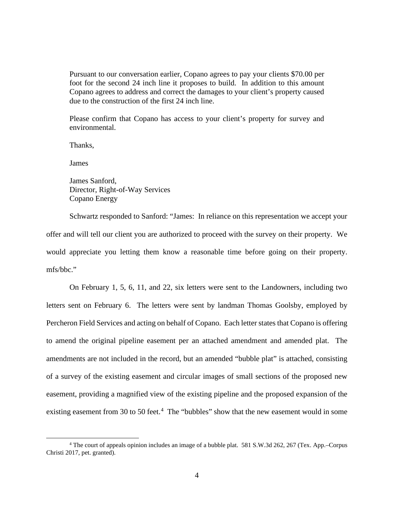Pursuant to our conversation earlier, Copano agrees to pay your clients \$70.00 per foot for the second 24 inch line it proposes to build. In addition to this amount Copano agrees to address and correct the damages to your client's property caused due to the construction of the first 24 inch line.

Please confirm that Copano has access to your client's property for survey and environmental.

Thanks,

James

James Sanford, Director, Right-of-Way Services Copano Energy

Schwartz responded to Sanford: "James: In reliance on this representation we accept your offer and will tell our client you are authorized to proceed with the survey on their property. We would appreciate you letting them know a reasonable time before going on their property. mfs/bbc."

On February 1, 5, 6, 11, and 22, six letters were sent to the Landowners, including two letters sent on February 6. The letters were sent by landman Thomas Goolsby, employed by Percheron Field Services and acting on behalf of Copano. Each letter states that Copano is offering to amend the original pipeline easement per an attached amendment and amended plat. The amendments are not included in the record, but an amended "bubble plat" is attached, consisting of a survey of the existing easement and circular images of small sections of the proposed new easement, providing a magnified view of the existing pipeline and the proposed expansion of the existing easement from 30 to 50 feet.<sup>[4](#page-3-0)</sup> The "bubbles" show that the new easement would in some

<span id="page-3-0"></span><sup>4</sup> The court of appeals opinion includes an image of a bubble plat. 581 S.W.3d 262, 267 (Tex. App.–Corpus Christi 2017, pet. granted).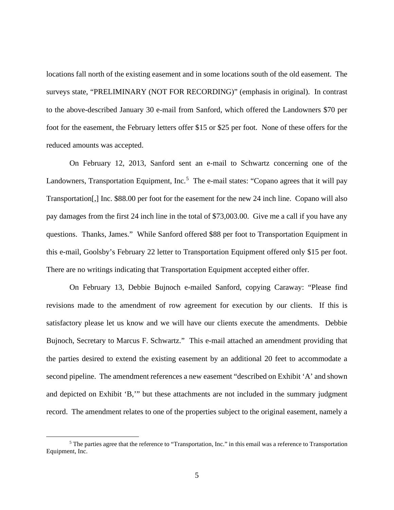locations fall north of the existing easement and in some locations south of the old easement. The surveys state, "PRELIMINARY (NOT FOR RECORDING)" (emphasis in original). In contrast to the above-described January 30 e-mail from Sanford, which offered the Landowners \$70 per foot for the easement, the February letters offer \$15 or \$25 per foot. None of these offers for the reduced amounts was accepted.

On February 12, 2013, Sanford sent an e-mail to Schwartz concerning one of the Landowners, Transportation Equipment, Inc.<sup>[5](#page-4-0)</sup> The e-mail states: "Copano agrees that it will pay Transportation[,] Inc. \$88.00 per foot for the easement for the new 24 inch line. Copano will also pay damages from the first 24 inch line in the total of \$73,003.00. Give me a call if you have any questions. Thanks, James." While Sanford offered \$88 per foot to Transportation Equipment in this e-mail, Goolsby's February 22 letter to Transportation Equipment offered only \$15 per foot. There are no writings indicating that Transportation Equipment accepted either offer.

On February 13, Debbie Bujnoch e-mailed Sanford, copying Caraway: "Please find revisions made to the amendment of row agreement for execution by our clients. If this is satisfactory please let us know and we will have our clients execute the amendments. Debbie Bujnoch, Secretary to Marcus F. Schwartz." This e-mail attached an amendment providing that the parties desired to extend the existing easement by an additional 20 feet to accommodate a second pipeline. The amendment references a new easement "described on Exhibit 'A' and shown and depicted on Exhibit 'B,'" but these attachments are not included in the summary judgment record. The amendment relates to one of the properties subject to the original easement, namely a

<span id="page-4-0"></span><sup>5</sup> The parties agree that the reference to "Transportation, Inc." in this email was a reference to Transportation Equipment, Inc.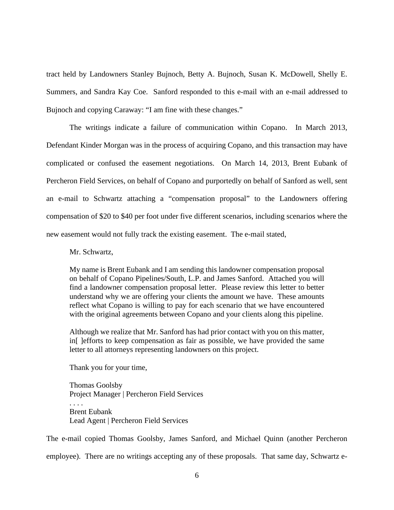tract held by Landowners Stanley Bujnoch, Betty A. Bujnoch, Susan K. McDowell, Shelly E. Summers, and Sandra Kay Coe. Sanford responded to this e-mail with an e-mail addressed to Bujnoch and copying Caraway: "I am fine with these changes."

The writings indicate a failure of communication within Copano. In March 2013, Defendant Kinder Morgan was in the process of acquiring Copano, and this transaction may have complicated or confused the easement negotiations. On March 14, 2013, Brent Eubank of Percheron Field Services, on behalf of Copano and purportedly on behalf of Sanford as well, sent an e-mail to Schwartz attaching a "compensation proposal" to the Landowners offering compensation of \$20 to \$40 per foot under five different scenarios, including scenarios where the new easement would not fully track the existing easement. The e-mail stated,

Mr. Schwartz,

My name is Brent Eubank and I am sending this landowner compensation proposal on behalf of Copano Pipelines/South, L.P. and James Sanford. Attached you will find a landowner compensation proposal letter. Please review this letter to better understand why we are offering your clients the amount we have. These amounts reflect what Copano is willing to pay for each scenario that we have encountered with the original agreements between Copano and your clients along this pipeline.

Although we realize that Mr. Sanford has had prior contact with you on this matter, in[ ]efforts to keep compensation as fair as possible, we have provided the same letter to all attorneys representing landowners on this project.

Thank you for your time,

Thomas Goolsby Project Manager | Percheron Field Services . . . . Brent Eubank Lead Agent | Percheron Field Services

The e-mail copied Thomas Goolsby, James Sanford, and Michael Quinn (another Percheron employee). There are no writings accepting any of these proposals. That same day, Schwartz e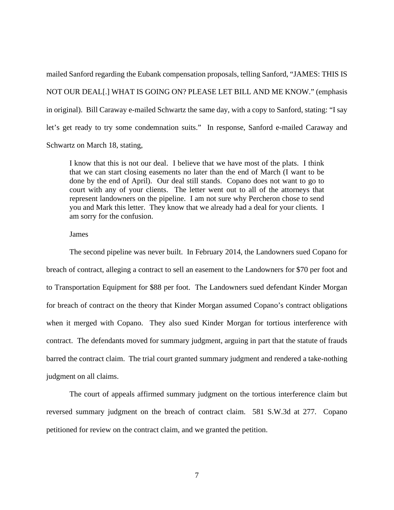mailed Sanford regarding the Eubank compensation proposals, telling Sanford, "JAMES: THIS IS NOT OUR DEAL[.] WHAT IS GOING ON? PLEASE LET BILL AND ME KNOW." (emphasis in original). Bill Caraway e-mailed Schwartz the same day, with a copy to Sanford, stating: "I say let's get ready to try some condemnation suits." In response, Sanford e-mailed Caraway and Schwartz on March 18, stating,

I know that this is not our deal. I believe that we have most of the plats. I think that we can start closing easements no later than the end of March (I want to be done by the end of April). Our deal still stands. Copano does not want to go to court with any of your clients. The letter went out to all of the attorneys that represent landowners on the pipeline. I am not sure why Percheron chose to send you and Mark this letter. They know that we already had a deal for your clients. I am sorry for the confusion.

#### James

The second pipeline was never built. In February 2014, the Landowners sued Copano for breach of contract, alleging a contract to sell an easement to the Landowners for \$70 per foot and to Transportation Equipment for \$88 per foot. The Landowners sued defendant Kinder Morgan for breach of contract on the theory that Kinder Morgan assumed Copano's contract obligations when it merged with Copano. They also sued Kinder Morgan for tortious interference with contract. The defendants moved for summary judgment, arguing in part that the statute of frauds barred the contract claim. The trial court granted summary judgment and rendered a take-nothing judgment on all claims.

The court of appeals affirmed summary judgment on the tortious interference claim but reversed summary judgment on the breach of contract claim. 581 S.W.3d at 277. Copano petitioned for review on the contract claim, and we granted the petition.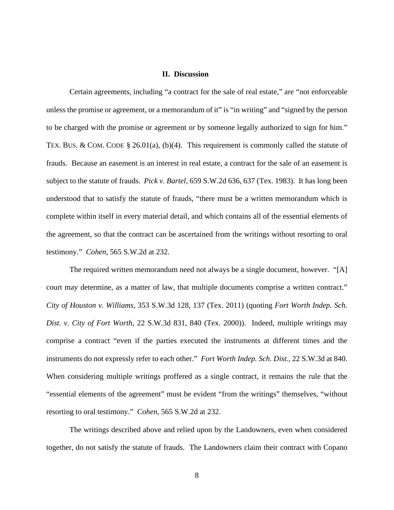### **II. Discussion**

Certain agreements, including "a contract for the sale of real estate," are "not enforceable unless the promise or agreement, or a memorandum of it" is "in writing" and "signed by the person to be charged with the promise or agreement or by someone legally authorized to sign for him." TEX. BUS. & COM. CODE § 26.01(a), (b)(4). This requirement is commonly called the statute of frauds. Because an easement is an interest in real estate, a contract for the sale of an easement is subject to the statute of frauds. *Pick v. Bartel*, 659 S.W.2d 636, 637 (Tex. 1983). It has long been understood that to satisfy the statute of frauds, "there must be a written memorandum which is complete within itself in every material detail, and which contains all of the essential elements of the agreement, so that the contract can be ascertained from the writings without resorting to oral testimony." *Cohen*, 565 S.W.2d at 232.

The required written memorandum need not always be a single document, however. "[A] court may determine, as a matter of law, that multiple documents comprise a written contract." *City of Houston v. Williams*, 353 S.W.3d 128, 137 (Tex. 2011) (quoting *Fort Worth Indep. Sch. Dist. v. City of Fort Worth*, 22 S.W.3d 831, 840 (Tex. 2000)). Indeed, multiple writings may comprise a contract "even if the parties executed the instruments at different times and the instruments do not expressly refer to each other." *Fort Worth Indep. Sch. Dist.*, 22 S.W.3d at 840. When considering multiple writings proffered as a single contract, it remains the rule that the "essential elements of the agreement" must be evident "from the writings" themselves, "without resorting to oral testimony." *Cohen*, 565 S.W.2d at 232.

The writings described above and relied upon by the Landowners, even when considered together, do not satisfy the statute of frauds. The Landowners claim their contract with Copano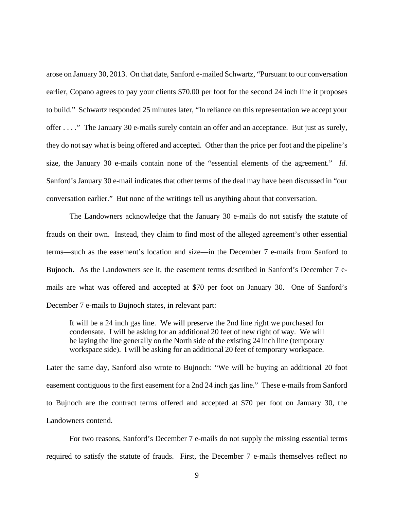arose on January 30, 2013. On that date, Sanford e-mailed Schwartz, "Pursuant to our conversation earlier, Copano agrees to pay your clients \$70.00 per foot for the second 24 inch line it proposes to build." Schwartz responded 25 minutes later, "In reliance on this representation we accept your offer . . . ." The January 30 e-mails surely contain an offer and an acceptance. But just as surely, they do not say what is being offered and accepted. Other than the price per foot and the pipeline's size, the January 30 e-mails contain none of the "essential elements of the agreement." *Id.* Sanford's January 30 e-mail indicates that other terms of the deal may have been discussed in "our conversation earlier." But none of the writings tell us anything about that conversation.

The Landowners acknowledge that the January 30 e-mails do not satisfy the statute of frauds on their own. Instead, they claim to find most of the alleged agreement's other essential terms—such as the easement's location and size—in the December 7 e-mails from Sanford to Bujnoch. As the Landowners see it, the easement terms described in Sanford's December 7 emails are what was offered and accepted at \$70 per foot on January 30. One of Sanford's December 7 e-mails to Bujnoch states, in relevant part:

It will be a 24 inch gas line. We will preserve the 2nd line right we purchased for condensate. I will be asking for an additional 20 feet of new right of way. We will be laying the line generally on the North side of the existing 24 inch line (temporary workspace side). I will be asking for an additional 20 feet of temporary workspace.

Later the same day, Sanford also wrote to Bujnoch: "We will be buying an additional 20 foot easement contiguous to the first easement for a 2nd 24 inch gas line." These e-mails from Sanford to Bujnoch are the contract terms offered and accepted at \$70 per foot on January 30, the Landowners contend.

For two reasons, Sanford's December 7 e-mails do not supply the missing essential terms required to satisfy the statute of frauds. First, the December 7 e-mails themselves reflect no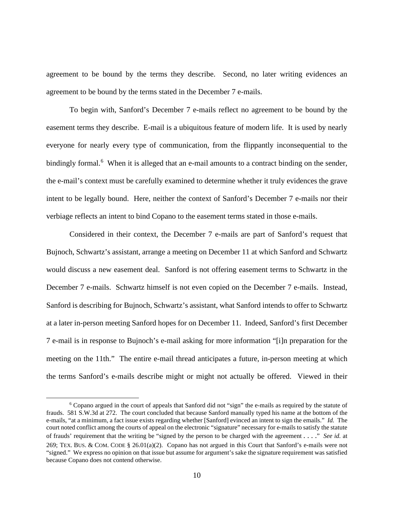agreement to be bound by the terms they describe. Second, no later writing evidences an agreement to be bound by the terms stated in the December 7 e-mails.

To begin with, Sanford's December 7 e-mails reflect no agreement to be bound by the easement terms they describe. E-mail is a ubiquitous feature of modern life. It is used by nearly everyone for nearly every type of communication, from the flippantly inconsequential to the bindingly formal.<sup>[6](#page-9-0)</sup> When it is alleged that an e-mail amounts to a contract binding on the sender, the e-mail's context must be carefully examined to determine whether it truly evidences the grave intent to be legally bound. Here, neither the context of Sanford's December 7 e-mails nor their verbiage reflects an intent to bind Copano to the easement terms stated in those e-mails.

Considered in their context, the December 7 e-mails are part of Sanford's request that Bujnoch, Schwartz's assistant, arrange a meeting on December 11 at which Sanford and Schwartz would discuss a new easement deal. Sanford is not offering easement terms to Schwartz in the December 7 e-mails. Schwartz himself is not even copied on the December 7 e-mails. Instead, Sanford is describing for Bujnoch, Schwartz's assistant, what Sanford intends to offer to Schwartz at a later in-person meeting Sanford hopes for on December 11. Indeed, Sanford's first December 7 e-mail is in response to Bujnoch's e-mail asking for more information "[i]n preparation for the meeting on the 11th." The entire e-mail thread anticipates a future, in-person meeting at which the terms Sanford's e-mails describe might or might not actually be offered. Viewed in their

<span id="page-9-0"></span><sup>6</sup> Copano argued in the court of appeals that Sanford did not "sign" the e-mails as required by the statute of frauds. 581 S.W.3d at 272. The court concluded that because Sanford manually typed his name at the bottom of the e-mails, "at a minimum, a fact issue exists regarding whether [Sanford] evinced an intent to sign the emails." *Id.* The court noted conflict among the courts of appeal on the electronic "signature" necessary for e-mails to satisfy the statute of frauds' requirement that the writing be "signed by the person to be charged with the agreement . . . ." *See id.* at 269; TEX. BUS. & COM. CODE § 26.01(a)(2). Copano has not argued in this Court that Sanford's e-mails were not "signed." We express no opinion on that issue but assume for argument's sake the signature requirement was satisfied because Copano does not contend otherwise.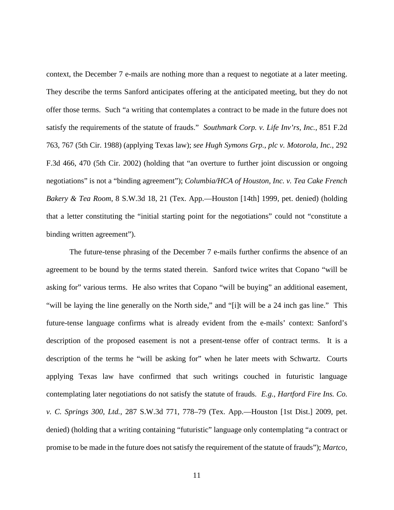context, the December 7 e-mails are nothing more than a request to negotiate at a later meeting. They describe the terms Sanford anticipates offering at the anticipated meeting, but they do not offer those terms. Such "a writing that contemplates a contract to be made in the future does not satisfy the requirements of the statute of frauds." *Southmark Corp. v. Life Inv'rs, Inc.*, 851 F.2d 763, 767 (5th Cir. 1988) (applying Texas law); *see Hugh Symons Grp., plc v. Motorola, Inc.*, 292 F.3d 466, 470 (5th Cir. 2002) (holding that "an overture to further joint discussion or ongoing negotiations" is not a "binding agreement"); *Columbia/HCA of Houston, Inc. v. Tea Cake French Bakery & Tea Room*, 8 S.W.3d 18, 21 (Tex. App.—Houston [14th] 1999, pet. denied) (holding that a letter constituting the "initial starting point for the negotiations" could not "constitute a binding written agreement").

The future-tense phrasing of the December 7 e-mails further confirms the absence of an agreement to be bound by the terms stated therein. Sanford twice writes that Copano "will be asking for" various terms. He also writes that Copano "will be buying" an additional easement, "will be laying the line generally on the North side," and "[i]t will be a 24 inch gas line." This future-tense language confirms what is already evident from the e-mails' context: Sanford's description of the proposed easement is not a present-tense offer of contract terms. It is a description of the terms he "will be asking for" when he later meets with Schwartz. Courts applying Texas law have confirmed that such writings couched in futuristic language contemplating later negotiations do not satisfy the statute of frauds. *E.g.*, *Hartford Fire Ins. Co. v. C. Springs 300, Ltd.*, 287 S.W.3d 771, 778–79 (Tex. App.—Houston [1st Dist.] 2009, pet. denied) (holding that a writing containing "futuristic" language only contemplating "a contract or promise to be made in the future does not satisfy the requirement of the statute of frauds"); *Martco,*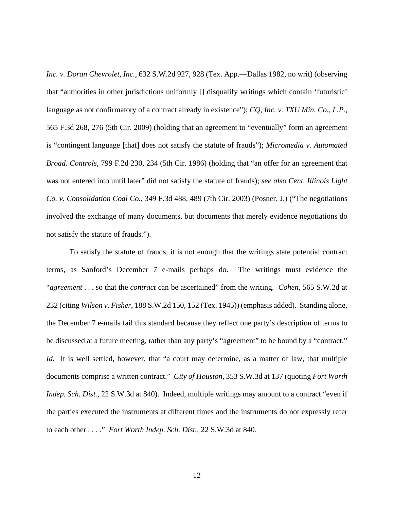*Inc. v. Doran Chevrolet, Inc.*, 632 S.W.2d 927, 928 (Tex. App.—Dallas 1982, no writ) (observing that "authorities in other jurisdictions uniformly [] disqualify writings which contain 'futuristic' language as not confirmatory of a contract already in existence"); *CQ, Inc. v. TXU Min. Co., L.P.*, 565 F.3d 268, 276 (5th Cir. 2009) (holding that an agreement to "eventually" form an agreement is "contingent language [that] does not satisfy the statute of frauds"); *Micromedia v. Automated Broad. Controls*, 799 F.2d 230, 234 (5th Cir. 1986) (holding that "an offer for an agreement that was not entered into until later" did not satisfy the statute of frauds); *see also Cent. Illinois Light Co. v. Consolidation Coal Co.*, 349 F.3d 488, 489 (7th Cir. 2003) (Posner, J.) ("The negotiations involved the exchange of many documents, but documents that merely evidence negotiations do not satisfy the statute of frauds.").

To satisfy the statute of frauds, it is not enough that the writings state potential contract terms, as Sanford's December 7 e-mails perhaps do. The writings must evidence the "*agreement* . . . so that the *contract* can be ascertained" from the writing. *Cohen*, 565 S.W.2d at 232 (citing *Wilson v. Fisher*, 188 S.W.2d 150, 152 (Tex. 1945)) (emphasis added). Standing alone, the December 7 e-mails fail this standard because they reflect one party's description of terms to be discussed at a future meeting, rather than any party's "agreement" to be bound by a "contract." *Id.* It is well settled, however, that "a court may determine, as a matter of law, that multiple documents comprise a written contract." *City of Houston*, 353 S.W.3d at 137 (quoting *Fort Worth Indep. Sch. Dist.*, 22 S.W.3d at 840). Indeed, multiple writings may amount to a contract "even if the parties executed the instruments at different times and the instruments do not expressly refer to each other . . . ." *Fort Worth Indep. Sch. Dist.*, 22 S.W.3d at 840.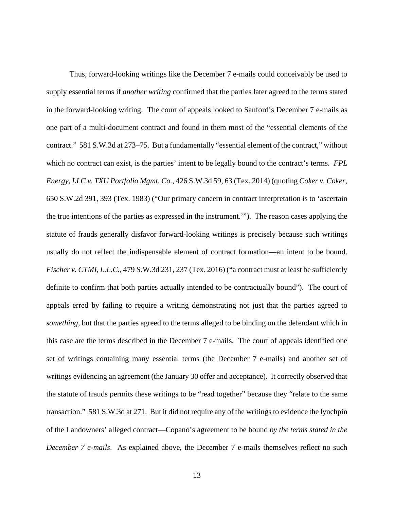Thus, forward-looking writings like the December 7 e-mails could conceivably be used to supply essential terms if *another writing* confirmed that the parties later agreed to the terms stated in the forward-looking writing. The court of appeals looked to Sanford's December 7 e-mails as one part of a multi-document contract and found in them most of the "essential elements of the contract." 581 S.W.3d at 273–75. But a fundamentally "essential element of the contract," without which no contract can exist, is the parties' intent to be legally bound to the contract's terms. *FPL Energy, LLC v. TXU Portfolio Mgmt. Co.*, 426 S.W.3d 59, 63 (Tex. 2014) (quoting *Coker v. Coker*, 650 S.W.2d 391, 393 (Tex. 1983) ("Our primary concern in contract interpretation is to 'ascertain the true intentions of the parties as expressed in the instrument.'"). The reason cases applying the statute of frauds generally disfavor forward-looking writings is precisely because such writings usually do not reflect the indispensable element of contract formation—an intent to be bound. *Fischer v. CTMI, L.L.C.*, 479 S.W.3d 231, 237 (Tex. 2016) ("a contract must at least be sufficiently definite to confirm that both parties actually intended to be contractually bound").The court of appeals erred by failing to require a writing demonstrating not just that the parties agreed to *something*, but that the parties agreed to the terms alleged to be binding on the defendant which in this case are the terms described in the December 7 e-mails. The court of appeals identified one set of writings containing many essential terms (the December 7 e-mails) and another set of writings evidencing an agreement (the January 30 offer and acceptance). It correctly observed that the statute of frauds permits these writings to be "read together" because they "relate to the same transaction." 581 S.W.3d at 271.But it did not require any of the writings to evidence the lynchpin of the Landowners' alleged contract—Copano's agreement to be bound *by the terms stated in the December 7 e-mails.* As explained above, the December 7 e-mails themselves reflect no such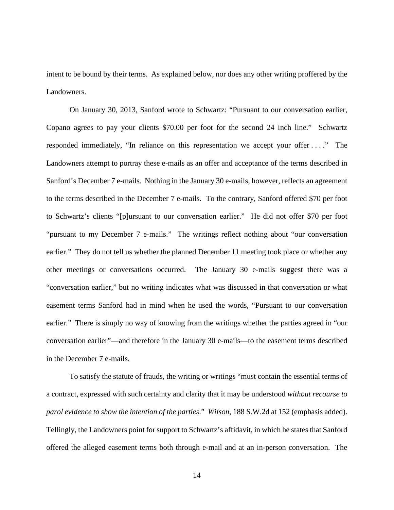intent to be bound by their terms. As explained below, nor does any other writing proffered by the Landowners.

On January 30, 2013, Sanford wrote to Schwartz: "Pursuant to our conversation earlier, Copano agrees to pay your clients \$70.00 per foot for the second 24 inch line." Schwartz responded immediately, "In reliance on this representation we accept your offer . . . ." The Landowners attempt to portray these e-mails as an offer and acceptance of the terms described in Sanford's December 7 e-mails. Nothing in the January 30 e-mails, however, reflects an agreement to the terms described in the December 7 e-mails. To the contrary, Sanford offered \$70 per foot to Schwartz's clients "[p]ursuant to our conversation earlier." He did not offer \$70 per foot "pursuant to my December 7 e-mails." The writings reflect nothing about "our conversation earlier." They do not tell us whether the planned December 11 meeting took place or whether any other meetings or conversations occurred. The January 30 e-mails suggest there was a "conversation earlier," but no writing indicates what was discussed in that conversation or what easement terms Sanford had in mind when he used the words, "Pursuant to our conversation earlier." There is simply no way of knowing from the writings whether the parties agreed in "our conversation earlier"—and therefore in the January 30 e-mails—to the easement terms described in the December 7 e-mails.

To satisfy the statute of frauds, the writing or writings "must contain the essential terms of a contract, expressed with such certainty and clarity that it may be understood *without recourse to parol evidence to show the intention of the parties*." *Wilson*, 188 S.W.2d at 152 (emphasis added). Tellingly, the Landowners point for support to Schwartz's affidavit, in which he states that Sanford offered the alleged easement terms both through e-mail and at an in-person conversation. The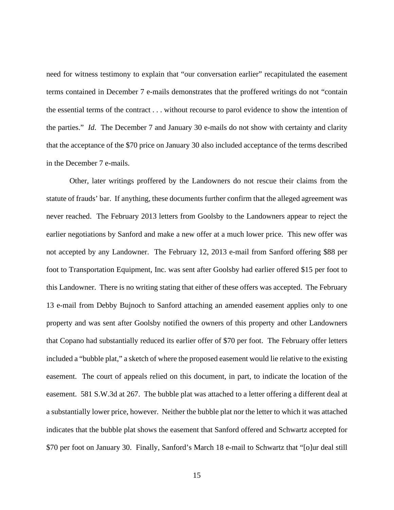need for witness testimony to explain that "our conversation earlier" recapitulated the easement terms contained in December 7 e-mails demonstrates that the proffered writings do not "contain the essential terms of the contract . . . without recourse to parol evidence to show the intention of the parties." *Id*. The December 7 and January 30 e-mails do not show with certainty and clarity that the acceptance of the \$70 price on January 30 also included acceptance of the terms described in the December 7 e-mails.

Other, later writings proffered by the Landowners do not rescue their claims from the statute of frauds' bar. If anything, these documents further confirm that the alleged agreement was never reached. The February 2013 letters from Goolsby to the Landowners appear to reject the earlier negotiations by Sanford and make a new offer at a much lower price. This new offer was not accepted by any Landowner. The February 12, 2013 e-mail from Sanford offering \$88 per foot to Transportation Equipment, Inc. was sent after Goolsby had earlier offered \$15 per foot to this Landowner. There is no writing stating that either of these offers was accepted. The February 13 e-mail from Debby Bujnoch to Sanford attaching an amended easement applies only to one property and was sent after Goolsby notified the owners of this property and other Landowners that Copano had substantially reduced its earlier offer of \$70 per foot. The February offer letters included a "bubble plat," a sketch of where the proposed easement would lie relative to the existing easement. The court of appeals relied on this document, in part, to indicate the location of the easement. 581 S.W.3d at 267. The bubble plat was attached to a letter offering a different deal at a substantially lower price, however. Neither the bubble plat nor the letter to which it was attached indicates that the bubble plat shows the easement that Sanford offered and Schwartz accepted for \$70 per foot on January 30. Finally, Sanford's March 18 e-mail to Schwartz that "[o]ur deal still